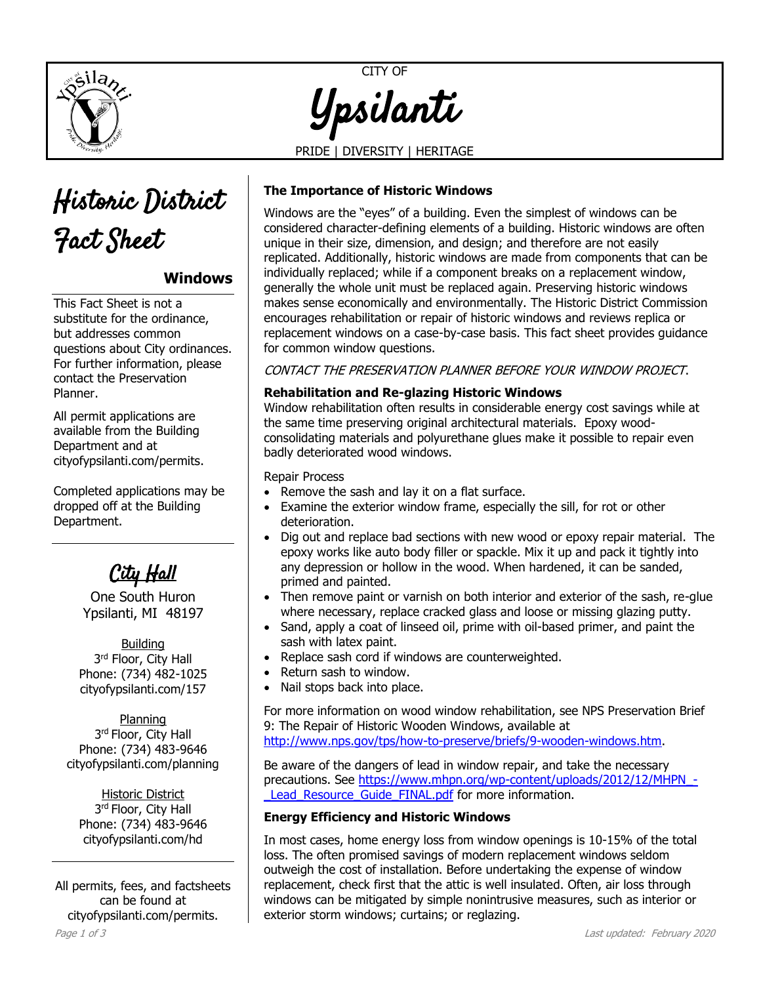



# **Windows**

This Fact Sheet is not a substitute for the ordinance, but addresses common questions about City ordinances. For further information, please contact the Preservation Planner.

All permit applications are available from the Building Department and at [cityofypsilanti.com/permits.](http://www.cityofypsilanti.com/permits)

Completed applications may be dropped off at the Building Department.

City Hall

One South Huron Ypsilanti, MI 48197

Building 3<sup>rd</sup> Floor, City Hall Phone: (734) 482-1025 cityofypsilanti.com/157

Planning 3<sup>rd</sup> Floor, City Hall Phone: (734) 483-9646 [cityofypsilanti.com/planning](http://www.cityofypsilanti.com/planning)

Historic District 3<sup>rd</sup> Floor, City Hall Phone: (734) 483-9646 [cityofypsilanti.com/hd](http://www.cityofypsilanti.com/hdc)

All permits, fees, and factsheets can be found at [cityofypsilanti.com/permits.](http://www.cityofypsilanti.com/permits)

CITY OF Ypsilanti

PRIDE | DIVERSITY | HERITAGE

## **The Importance of Historic Windows**

Windows are the "eyes" of a building. Even the simplest of windows can be considered character-defining elements of a building. Historic windows are often unique in their size, dimension, and design; and therefore are not easily replicated. Additionally, historic windows are made from components that can be individually replaced; while if a component breaks on a replacement window, generally the whole unit must be replaced again. Preserving historic windows makes sense economically and environmentally. The Historic District Commission encourages rehabilitation or repair of historic windows and reviews replica or replacement windows on a case-by-case basis. This fact sheet provides guidance for common window questions.

CONTACT THE PRESERVATION PLANNER BEFORE YOUR WINDOW PROJECT.

### **Rehabilitation and Re-glazing Historic Windows**

Window rehabilitation often results in considerable energy cost savings while at the same time preserving original architectural materials. Epoxy woodconsolidating materials and polyurethane glues make it possible to repair even badly deteriorated wood windows.

#### Repair Process

- Remove the sash and lay it on a flat surface.
- Examine the exterior window frame, especially the sill, for rot or other deterioration.
- Dig out and replace bad sections with new wood or epoxy repair material. The epoxy works like auto body filler or spackle. Mix it up and pack it tightly into any depression or hollow in the wood. When hardened, it can be sanded, primed and painted.
- Then remove paint or varnish on both interior and exterior of the sash, re-glue where necessary, replace cracked glass and loose or missing glazing putty.
- Sand, apply a coat of linseed oil, prime with oil-based primer, and paint the sash with latex paint.
- Replace sash cord if windows are counterweighted.
- Return sash to window.
- Nail stops back into place.

For more information on wood window rehabilitation, see NPS Preservation Brief 9: The Repair of Historic Wooden Windows, available at [http://www.nps.gov/tps/how-to-preserve/briefs/9-wooden-windows.htm.](http://www.nps.gov/tps/how-to-preserve/briefs/9-wooden-windows.htm)

Be aware of the dangers of lead in window repair, and take the necessary precautions. See [https://www.mhpn.org/wp-content/uploads/2012/12/MHPN\\_-](https://www.mhpn.org/wp-content/uploads/2012/12/MHPN_-_Lead_Resource_Guide_FINAL.pdf) Lead Resource Guide FINAL.pdf for more information.

### **Energy Efficiency and Historic Windows**

In most cases, home energy loss from window openings is 10-15% of the total loss. The often promised savings of modern replacement windows seldom outweigh the cost of installation. Before undertaking the expense of window replacement, check first that the attic is well insulated. Often, air loss through windows can be mitigated by simple nonintrusive measures, such as interior or exterior storm windows; curtains; or reglazing.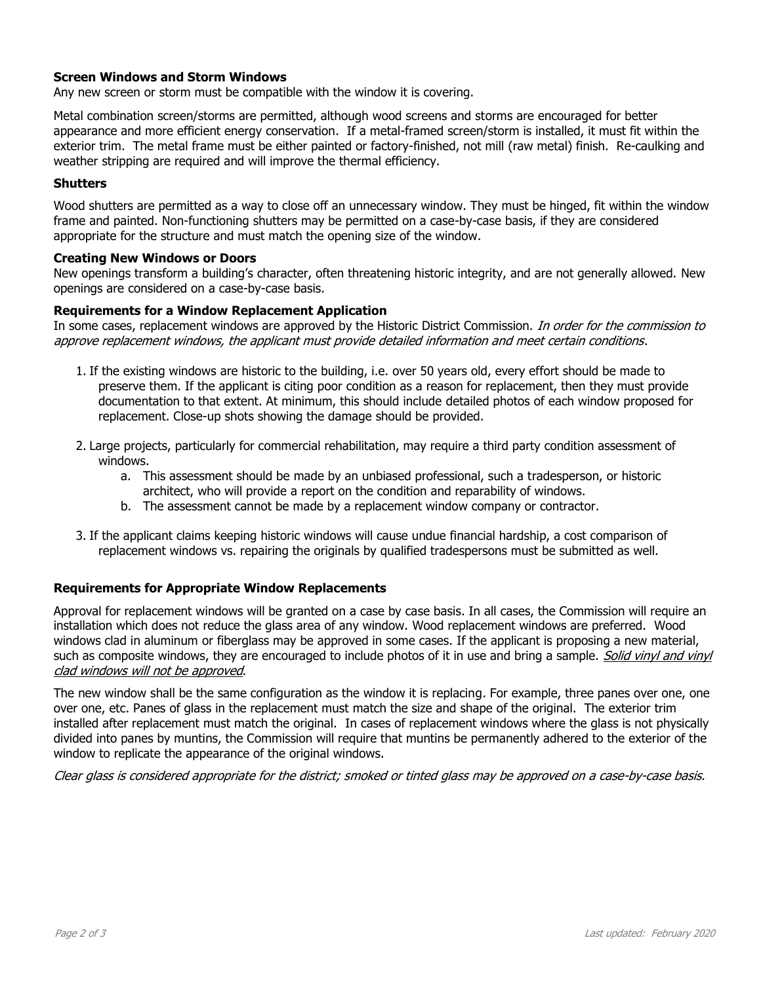### **Screen Windows and Storm Windows**

Any new screen or storm must be compatible with the window it is covering.

Metal combination screen/storms are permitted, although wood screens and storms are encouraged for better appearance and more efficient energy conservation. If a metal-framed screen/storm is installed, it must fit within the exterior trim. The metal frame must be either painted or factory-finished, not mill (raw metal) finish. Re-caulking and weather stripping are required and will improve the thermal efficiency.

#### **Shutters**

Wood shutters are permitted as a way to close off an unnecessary window. They must be hinged, fit within the window frame and painted. Non-functioning shutters may be permitted on a case-by-case basis, if they are considered appropriate for the structure and must match the opening size of the window.

#### **Creating New Windows or Doors**

New openings transform a building's character, often threatening historic integrity, and are not generally allowed. New openings are considered on a case-by-case basis.

#### **Requirements for a Window Replacement Application**

In some cases, replacement windows are approved by the Historic District Commission. In order for the commission to approve replacement windows, the applicant must provide detailed information and meet certain conditions.

- 1. If the existing windows are historic to the building, i.e. over 50 years old, every effort should be made to preserve them. If the applicant is citing poor condition as a reason for replacement, then they must provide documentation to that extent. At minimum, this should include detailed photos of each window proposed for replacement. Close-up shots showing the damage should be provided.
- 2. Large projects, particularly for commercial rehabilitation, may require a third party condition assessment of windows.
	- a. This assessment should be made by an unbiased professional, such a tradesperson, or historic architect, who will provide a report on the condition and reparability of windows.
	- b. The assessment cannot be made by a replacement window company or contractor.
- 3. If the applicant claims keeping historic windows will cause undue financial hardship, a cost comparison of replacement windows vs. repairing the originals by qualified tradespersons must be submitted as well.

#### **Requirements for Appropriate Window Replacements**

Approval for replacement windows will be granted on a case by case basis. In all cases, the Commission will require an installation which does not reduce the glass area of any window. Wood replacement windows are preferred. Wood windows clad in aluminum or fiberglass may be approved in some cases. If the applicant is proposing a new material, such as composite windows, they are encouraged to include photos of it in use and bring a sample. Solid vinyl and vinyl clad windows will not be approved.

The new window shall be the same configuration as the window it is replacing. For example, three panes over one, one over one, etc. Panes of glass in the replacement must match the size and shape of the original. The exterior trim installed after replacement must match the original. In cases of replacement windows where the glass is not physically divided into panes by muntins, the Commission will require that muntins be permanently adhered to the exterior of the window to replicate the appearance of the original windows.

Clear glass is considered appropriate for the district; smoked or tinted glass may be approved on a case-by-case basis.